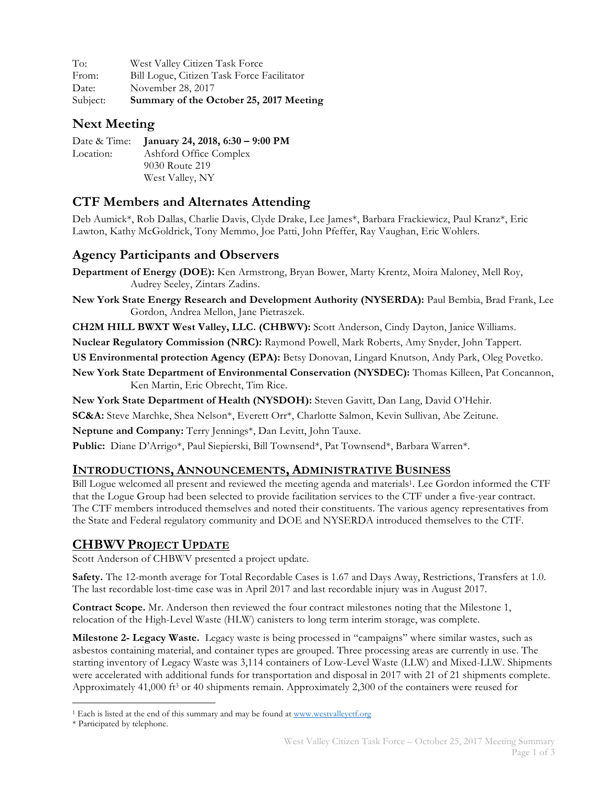| To:      | West Valley Citizen Task Force             |
|----------|--------------------------------------------|
| From:    | Bill Logue, Citizen Task Force Facilitator |
| Date:    | November 28, 2017                          |
| Subject: | Summary of the October 25, 2017 Meeting    |

## **Next Meeting**

|           | Date & Time: January 24, 2018, 6:30 - 9:00 PM |
|-----------|-----------------------------------------------|
| Location: | Ashford Office Complex                        |
|           | 9030 Route 219                                |
|           | West Valley, NY                               |

# **CTF Members and Alternates Attending**

Deb Aumick\*, Rob Dallas, Charlie Davis, Clyde Drake, Lee James\*, Barbara Frackiewicz, Paul Kranz\*, Eric Lawton, Kathy McGoldrick, Tony Memmo, Joe Patti, John Pfeffer, Ray Vaughan, Eric Wohlers.

### **Agency Participants and Observers**

**Department of Energy (DOE):** Ken Armstrong, Bryan Bower, Marty Krentz, Moira Maloney, Mell Roy, Audrey Seeley, Zintars Zadins.

**New York State Energy Research and Development Authority (NYSERDA):** Paul Bembia, Brad Frank, Lee Gordon, Andrea Mellon, Jane Pietraszek.

**CH2M HILL BWXT West Valley, LLC. (CHBWV):** Scott Anderson, Cindy Dayton, Janice Williams.

**Nuclear Regulatory Commission (NRC):** Raymond Powell, Mark Roberts, Amy Snyder, John Tappert.

**US Environmental protection Agency (EPA):** Betsy Donovan, Lingard Knutson, Andy Park, Oleg Povetko.

**New York State Department of Environmental Conservation (NYSDEC):** Thomas Killeen, Pat Concannon, Ken Martin, Eric Obrecht, Tim Rice.

**New York State Department of Health (NYSDOH):** Steven Gavitt, Dan Lang, David O'Hehir.

**SC&A:** Steve Marchke, Shea Nelson\*, Everett Orr\*, Charlotte Salmon, Kevin Sullivan, Abe Zeitune.

**Neptune and Company:** Terry Jennings\*, Dan Levitt, John Tauxe.

**Public:** Diane D'Arrigo\*, Paul Siepierski, Bill Townsend\*, Pat Townsend\*, Barbara Warren\*.

#### **INTRODUCTIONS, ANNOUNCEMENTS, ADMINISTRATIVE BUSINESS**

Bill Logue welcomed all present and reviewed the meeting agenda and materials1. Lee Gordon informed the CTF that the Logue Group had been selected to provide facilitation services to the CTF under a five-year contract. The CTF members introduced themselves and noted their constituents. The various agency representatives from the State and Federal regulatory community and DOE and NYSERDA introduced themselves to the CTF.

### **CHBWV PROJECT UPDATE**

Scott Anderson of CHBWV presented a project update.

**Safety.** The 12-month average for Total Recordable Cases is 1.67 and Days Away, Restrictions, Transfers at 1.0. The last recordable lost-time case was in April 2017 and last recordable injury was in August 2017.

**Contract Scope.** Mr. Anderson then reviewed the four contract milestones noting that the Milestone 1, relocation of the High-Level Waste (HLW) canisters to long term interim storage, was complete.

**Milestone 2- Legacy Waste.** Legacy waste is being processed in "campaigns" where similar wastes, such as asbestos containing material, and container types are grouped. Three processing areas are currently in use. The starting inventory of Legacy Waste was 3,114 containers of Low-Level Waste (LLW) and Mixed-LLW. Shipments were accelerated with additional funds for transportation and disposal in 2017 with 21 of 21 shipments complete. Approximately 41,000 ft<sup>3</sup> or 40 shipments remain. Approximately 2,300 of the containers were reused for

<sup>&</sup>lt;sup>1</sup> Each is listed at the end of this summary and may be found at www.westvalleyctf.org

<sup>\*</sup> Participated by telephone.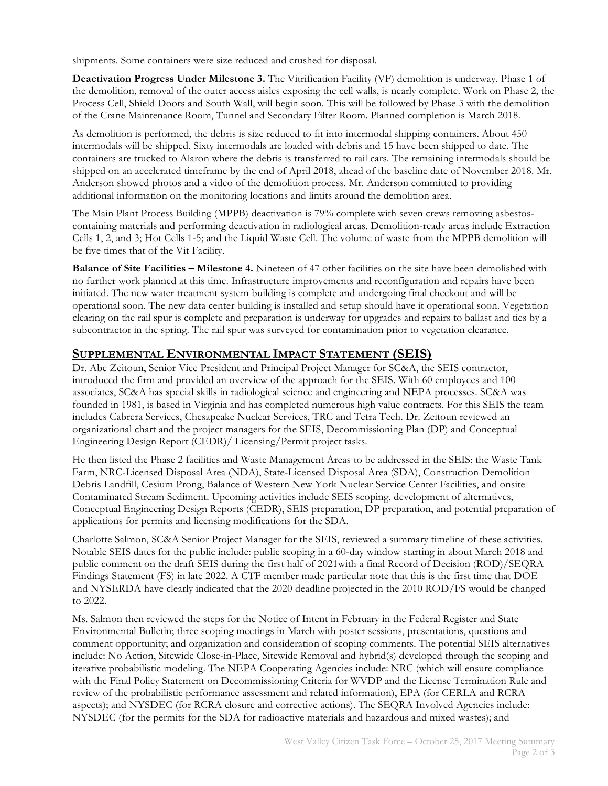shipments. Some containers were size reduced and crushed for disposal.

**Deactivation Progress Under Milestone 3.** The Vitrification Facility (VF) demolition is underway. Phase 1 of the demolition, removal of the outer access aisles exposing the cell walls, is nearly complete. Work on Phase 2, the Process Cell, Shield Doors and South Wall, will begin soon. This will be followed by Phase 3 with the demolition of the Crane Maintenance Room, Tunnel and Secondary Filter Room. Planned completion is March 2018.

As demolition is performed, the debris is size reduced to fit into intermodal shipping containers. About 450 intermodals will be shipped. Sixty intermodals are loaded with debris and 15 have been shipped to date. The containers are trucked to Alaron where the debris is transferred to rail cars. The remaining intermodals should be shipped on an accelerated timeframe by the end of April 2018, ahead of the baseline date of November 2018. Mr. Anderson showed photos and a video of the demolition process. Mr. Anderson committed to providing additional information on the monitoring locations and limits around the demolition area.

The Main Plant Process Building (MPPB) deactivation is 79% complete with seven crews removing asbestoscontaining materials and performing deactivation in radiological areas. Demolition-ready areas include Extraction Cells 1, 2, and 3; Hot Cells 1-5; and the Liquid Waste Cell. The volume of waste from the MPPB demolition will be five times that of the Vit Facility.

**Balance of Site Facilities – Milestone 4.** Nineteen of 47 other facilities on the site have been demolished with no further work planned at this time. Infrastructure improvements and reconfiguration and repairs have been initiated. The new water treatment system building is complete and undergoing final checkout and will be operational soon. The new data center building is installed and setup should have it operational soon. Vegetation clearing on the rail spur is complete and preparation is underway for upgrades and repairs to ballast and ties by a subcontractor in the spring. The rail spur was surveyed for contamination prior to vegetation clearance.

### **SUPPLEMENTAL ENVIRONMENTAL IMPACT STATEMENT (SEIS)**

Dr. Abe Zeitoun, Senior Vice President and Principal Project Manager for SC&A, the SEIS contractor, introduced the firm and provided an overview of the approach for the SEIS. With 60 employees and 100 associates, SC&A has special skills in radiological science and engineering and NEPA processes. SC&A was founded in 1981, is based in Virginia and has completed numerous high value contracts. For this SEIS the team includes Cabrera Services, Chesapeake Nuclear Services, TRC and Tetra Tech. Dr. Zeitoun reviewed an organizational chart and the project managers for the SEIS, Decommissioning Plan (DP) and Conceptual Engineering Design Report (CEDR)/ Licensing/Permit project tasks.

He then listed the Phase 2 facilities and Waste Management Areas to be addressed in the SEIS: the Waste Tank Farm, NRC-Licensed Disposal Area (NDA), State-Licensed Disposal Area (SDA), Construction Demolition Debris Landfill, Cesium Prong, Balance of Western New York Nuclear Service Center Facilities, and onsite Contaminated Stream Sediment. Upcoming activities include SEIS scoping, development of alternatives, Conceptual Engineering Design Reports (CEDR), SEIS preparation, DP preparation, and potential preparation of applications for permits and licensing modifications for the SDA.

Charlotte Salmon, SC&A Senior Project Manager for the SEIS, reviewed a summary timeline of these activities. Notable SEIS dates for the public include: public scoping in a 60-day window starting in about March 2018 and public comment on the draft SEIS during the first half of 2021with a final Record of Decision (ROD)/SEQRA Findings Statement (FS) in late 2022. A CTF member made particular note that this is the first time that DOE and NYSERDA have clearly indicated that the 2020 deadline projected in the 2010 ROD/FS would be changed to 2022.

Ms. Salmon then reviewed the steps for the Notice of Intent in February in the Federal Register and State Environmental Bulletin; three scoping meetings in March with poster sessions, presentations, questions and comment opportunity; and organization and consideration of scoping comments. The potential SEIS alternatives include: No Action, Sitewide Close-in-Place, Sitewide Removal and hybrid(s) developed through the scoping and iterative probabilistic modeling. The NEPA Cooperating Agencies include: NRC (which will ensure compliance with the Final Policy Statement on Decommissioning Criteria for WVDP and the License Termination Rule and review of the probabilistic performance assessment and related information), EPA (for CERLA and RCRA aspects); and NYSDEC (for RCRA closure and corrective actions). The SEQRA Involved Agencies include: NYSDEC (for the permits for the SDA for radioactive materials and hazardous and mixed wastes); and